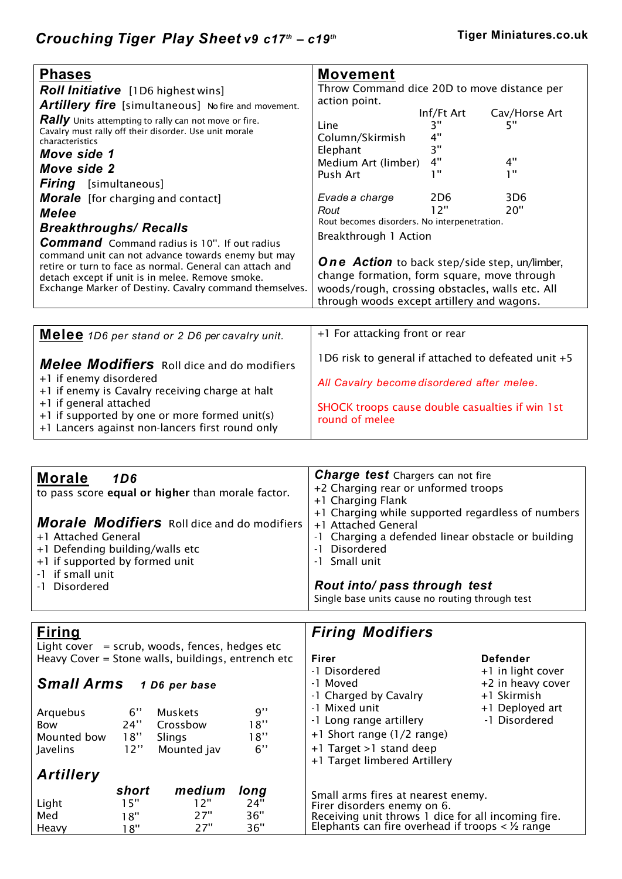| <b>Phases</b>                                                                                                                                                                                                                                                                                                                                                                                                                                                                                                                                                                                   | <b>Movement</b>                                                                                                                                                                                                                                                                                   |                                                                                               |                                               |  |
|-------------------------------------------------------------------------------------------------------------------------------------------------------------------------------------------------------------------------------------------------------------------------------------------------------------------------------------------------------------------------------------------------------------------------------------------------------------------------------------------------------------------------------------------------------------------------------------------------|---------------------------------------------------------------------------------------------------------------------------------------------------------------------------------------------------------------------------------------------------------------------------------------------------|-----------------------------------------------------------------------------------------------|-----------------------------------------------|--|
| <b>Roll Initiative</b> [1D6 highest wins]                                                                                                                                                                                                                                                                                                                                                                                                                                                                                                                                                       | Throw Command dice 20D to move distance per                                                                                                                                                                                                                                                       |                                                                                               |                                               |  |
| <b>Artillery fire</b> [simultaneous] No fire and movement.<br><b>Rally</b> Units attempting to rally can not move or fire.<br>Cavalry must rally off their disorder. Use unit morale<br>characteristics<br>Move side 1<br>Move side 2<br><b>Firing</b> [simultaneous]<br><b>Morale</b> [for charging and contact]<br><b>Melee</b><br><b>Breakthroughs/ Recalls</b><br><b>Command</b> Command radius is 10". If out radius<br>command unit can not advance towards enemy but may<br>retire or turn to face as normal. General can attach and<br>detach except if unit is in melee. Remove smoke. | action point.<br>Line<br>Column/Skirmish<br>Elephant<br>Medium Art (limber)<br>Push Art<br>Evade a charge<br>Rout<br>Rout becomes disorders. No interpenetration.<br>Breakthrough 1 Action<br><b>One Action</b> to back step/side step, un/limber,<br>change formation, form square, move through | Inf/Ft Art<br>יי 3<br>4"<br>3"<br>4"<br>1 H<br>2D <sub>6</sub><br>12"                         | Cav/Horse Art<br>5"<br>4"<br>1"<br>3D6<br>20" |  |
| Exchange Marker of Destiny. Cavalry command themselves.                                                                                                                                                                                                                                                                                                                                                                                                                                                                                                                                         |                                                                                                                                                                                                                                                                                                   | woods/rough, crossing obstacles, walls etc. All<br>through woods except artillery and wagons. |                                               |  |
|                                                                                                                                                                                                                                                                                                                                                                                                                                                                                                                                                                                                 |                                                                                                                                                                                                                                                                                                   |                                                                                               |                                               |  |

| Melee 1D6 per stand or 2 D6 per cavalry unit.                                                                                                                                                                                                         | +1 For attacking front or rear                                                                                                                                         |
|-------------------------------------------------------------------------------------------------------------------------------------------------------------------------------------------------------------------------------------------------------|------------------------------------------------------------------------------------------------------------------------------------------------------------------------|
| Melee Modifiers Roll dice and do modifiers<br>+1 if enemy disordered<br>+1 if enemy is Cavalry receiving charge at halt<br>+1 if general attached<br>+1 if supported by one or more formed unit(s)<br>+1 Lancers against non-lancers first round only | 1D6 risk to general if attached to defeated unit +5<br>All Cavalry become disordered after melee.<br>SHOCK troops cause double casualties if win 1st<br>round of melee |

| <b>Morale</b><br>1D6                               | <b>Charge test</b> Chargers can not fire           |
|----------------------------------------------------|----------------------------------------------------|
| to pass score equal or higher than morale factor.  | +2 Charging rear or unformed troops                |
|                                                    | +1 Charging Flank                                  |
|                                                    | +1 Charging while supported regardless of numbers  |
| <b>Morale Modifiers</b> Roll dice and do modifiers | +1 Attached General                                |
| +1 Attached General                                | -1 Charging a defended linear obstacle or building |
| +1 Defending building/walls etc                    | Disordered<br>- 1                                  |
| +1 if supported by formed unit                     | -1 Small unit                                      |
| -1 if small unit                                   |                                                    |
| -1 Disordered                                      | Rout into/ pass through test                       |
|                                                    | Single base units cause no routing through test    |

| <b>Firing</b>     |       |                                                    |      | <b>Firing Modifiers</b>                               |                                |
|-------------------|-------|----------------------------------------------------|------|-------------------------------------------------------|--------------------------------|
|                   |       | Light cover $=$ scrub, woods, fences, hedges etc   |      |                                                       |                                |
|                   |       | Heavy Cover = Stone walls, buildings, entrench etc |      | Firer                                                 | <b>Defender</b>                |
|                   |       |                                                    |      | -1 Disordered                                         | +1 in light cover              |
| <b>Small Arms</b> |       | 1 D6 per base                                      |      | -1 Moved                                              | +2 in heavy cover              |
|                   |       |                                                    |      | -1 Charged by Cavalry<br>-1 Mixed unit                | +1 Skirmish<br>+1 Deployed art |
| Arquebus          | 6"    | <b>Muskets</b>                                     | 9"   | -1 Long range artillery                               | -1 Disordered                  |
| <b>Bow</b>        | 24"   | Crossbow                                           | 18"  |                                                       |                                |
| Mounted bow       | 18"   | <b>Slings</b>                                      | 18"  | +1 Short range (1/2 range)                            |                                |
| <b>Javelins</b>   | 12"   | Mounted jav                                        | 6"   | +1 Target >1 stand deep                               |                                |
|                   |       |                                                    |      | +1 Target limbered Artillery                          |                                |
| <b>Artillery</b>  |       |                                                    |      |                                                       |                                |
|                   | short | medium                                             | long | Small arms fires at nearest enemy.                    |                                |
| Light             | 15"   | 12"                                                | 24"  | Firer disorders enemy on 6.                           |                                |
| Med               | 18"   | 27"                                                | 36"  | Receiving unit throws 1 dice for all incoming fire.   |                                |
| Heavy             | 18"   | 27"                                                | 36"  | Elephants can fire overhead if troops $\lt$ 1/2 range |                                |